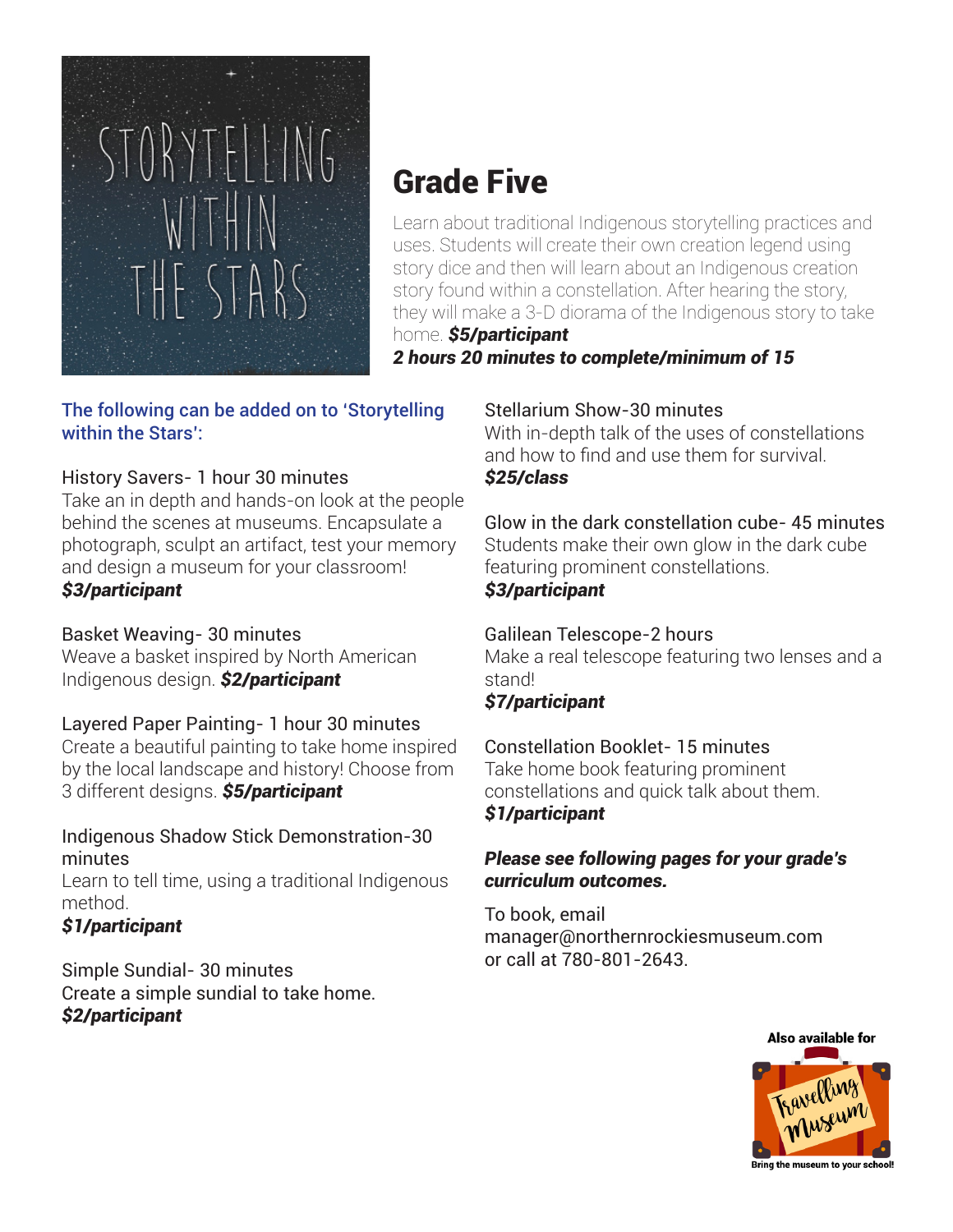

# Grade Five

Learn about traditional Indigenous storytelling practices and uses. Students will create their own creation legend using story dice and then will learn about an Indigenous creation story found within a constellation. After hearing the story, they will make a 3-D diorama of the Indigenous story to take home. *\$5/participant* 

*2 hours 20 minutes to complete/minimum of 15*

#### The following can be added on to 'Storytelling within the Stars':

## History Savers- 1 hour 30 minutes

Take an in depth and hands-on look at the people behind the scenes at museums. Encapsulate a photograph, sculpt an artifact, test your memory and design a museum for your classroom! *\$3/participant*

#### Basket Weaving- 30 minutes

Weave a basket inspired by North American Indigenous design. *\$2/participant*

## Layered Paper Painting- 1 hour 30 minutes

Create a beautiful painting to take home inspired by the local landscape and history! Choose from 3 different designs. *\$5/participant*

#### Indigenous Shadow Stick Demonstration-30 minutes

Learn to tell time, using a traditional Indigenous method.

## *\$1/participant*

Simple Sundial- 30 minutes Create a simple sundial to take home. *\$2/participant*

#### Stellarium Show-30 minutes

With in-depth talk of the uses of constellations and how to find and use them for survival. *\$25/class*

Glow in the dark constellation cube- 45 minutes Students make their own glow in the dark cube featuring prominent constellations.

#### *\$3/participant*

#### Galilean Telescope-2 hours

Make a real telescope featuring two lenses and a stand!

#### *\$7/participant*

#### Constellation Booklet- 15 minutes Take home book featuring prominent

constellations and quick talk about them. *\$1/participant*

#### *Please see following pages for your grade's curriculum outcomes.*

To book, email manager@northernrockiesmuseum.com or call at 780-801-2643.